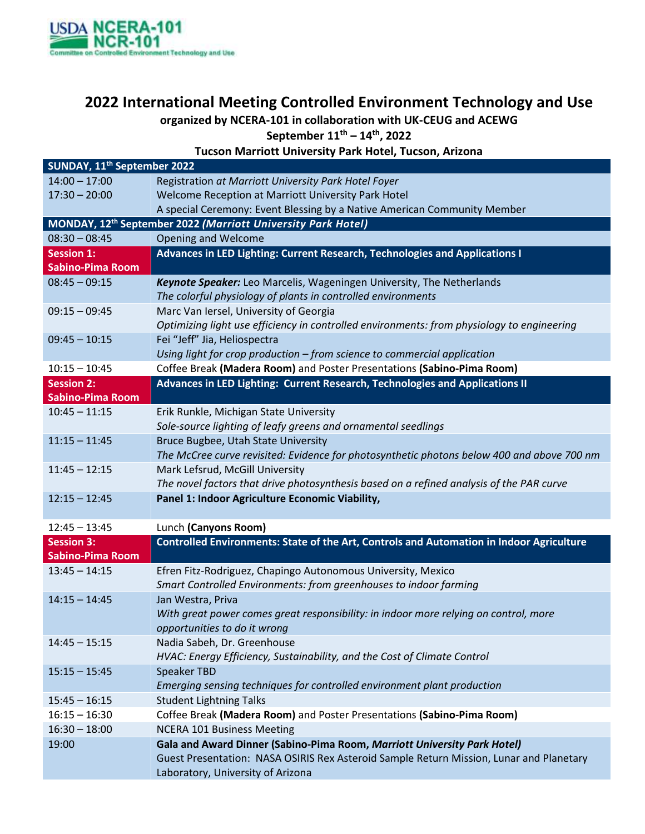

## **2022 International Meeting Controlled Environment Technology and Use**

**organized by NCERA-101 in collaboration with UK-CEUG and ACEWG**

**September 11th – 14th, 2022**

**Tucson Marriott University Park Hotel, Tucson, Arizona**

| SUNDAY, 11 <sup>th</sup> September 2022                                  |                                                                                            |  |
|--------------------------------------------------------------------------|--------------------------------------------------------------------------------------------|--|
| $14:00 - 17:00$                                                          | Registration at Marriott University Park Hotel Foyer                                       |  |
| $17:30 - 20:00$                                                          | Welcome Reception at Marriott University Park Hotel                                        |  |
|                                                                          | A special Ceremony: Event Blessing by a Native American Community Member                   |  |
| MONDAY, 12 <sup>th</sup> September 2022 (Marriott University Park Hotel) |                                                                                            |  |
| $08:30 - 08:45$                                                          | <b>Opening and Welcome</b>                                                                 |  |
| Session <sub>1:</sub>                                                    | Advances in LED Lighting: Current Research, Technologies and Applications I                |  |
| <b>Sabino-Pima Room</b>                                                  |                                                                                            |  |
| $08:45 - 09:15$                                                          | Keynote Speaker: Leo Marcelis, Wageningen University, The Netherlands                      |  |
|                                                                          | The colorful physiology of plants in controlled environments                               |  |
| $09:15 - 09:45$                                                          | Marc Van Iersel, University of Georgia                                                     |  |
|                                                                          | Optimizing light use efficiency in controlled environments: from physiology to engineering |  |
| $09:45 - 10:15$                                                          | Fei "Jeff" Jia, Heliospectra                                                               |  |
|                                                                          | Using light for crop production - from science to commercial application                   |  |
| $10:15 - 10:45$                                                          | Coffee Break (Madera Room) and Poster Presentations (Sabino-Pima Room)                     |  |
| <b>Session 2:</b>                                                        | Advances in LED Lighting: Current Research, Technologies and Applications II               |  |
| <b>Sabino-Pima Room</b>                                                  |                                                                                            |  |
| $10:45 - 11:15$                                                          | Erik Runkle, Michigan State University                                                     |  |
|                                                                          | Sole-source lighting of leafy greens and ornamental seedlings                              |  |
| $11:15 - 11:45$                                                          | Bruce Bugbee, Utah State University                                                        |  |
|                                                                          | The McCree curve revisited: Evidence for photosynthetic photons below 400 and above 700 nm |  |
| $11:45 - 12:15$                                                          | Mark Lefsrud, McGill University                                                            |  |
|                                                                          | The novel factors that drive photosynthesis based on a refined analysis of the PAR curve   |  |
| $12:15 - 12:45$                                                          | Panel 1: Indoor Agriculture Economic Viability,                                            |  |
|                                                                          |                                                                                            |  |
| $12:45 - 13:45$                                                          | Lunch (Canyons Room)                                                                       |  |
| <b>Session 3:</b>                                                        | Controlled Environments: State of the Art, Controls and Automation in Indoor Agriculture   |  |
| <b>Sabino-Pima Room</b>                                                  |                                                                                            |  |
| $13:45 - 14:15$                                                          | Efren Fitz-Rodriguez, Chapingo Autonomous University, Mexico                               |  |
|                                                                          | Smart Controlled Environments: from greenhouses to indoor farming                          |  |
| $14:15 - 14:45$                                                          | Jan Westra, Priva                                                                          |  |
|                                                                          | With great power comes great responsibility: in indoor more relying on control, more       |  |
|                                                                          | opportunities to do it wrong                                                               |  |
| $14:45 - 15:15$                                                          | Nadia Sabeh, Dr. Greenhouse                                                                |  |
|                                                                          | HVAC: Energy Efficiency, Sustainability, and the Cost of Climate Control                   |  |
| $15:15 - 15:45$                                                          | <b>Speaker TBD</b>                                                                         |  |
|                                                                          | Emerging sensing techniques for controlled environment plant production                    |  |
| $15:45 - 16:15$                                                          | <b>Student Lightning Talks</b>                                                             |  |
| $16:15 - 16:30$                                                          | Coffee Break (Madera Room) and Poster Presentations (Sabino-Pima Room)                     |  |
| $16:30 - 18:00$                                                          | <b>NCERA 101 Business Meeting</b>                                                          |  |
| 19:00                                                                    | Gala and Award Dinner (Sabino-Pima Room, Marriott University Park Hotel)                   |  |
|                                                                          | Guest Presentation: NASA OSIRIS Rex Asteroid Sample Return Mission, Lunar and Planetary    |  |
|                                                                          | Laboratory, University of Arizona                                                          |  |